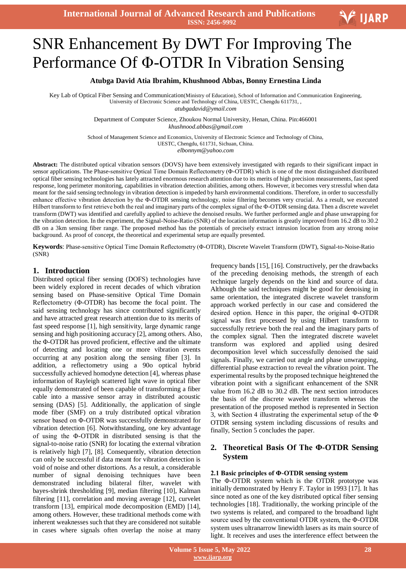# $\overline{\phantom{a}}$ SNR Enhancement By DWT For Improving The Performance Of Φ-OTDR In Vibration Sensing

# **Atubga David Atia Ibrahim, Khushnood Abbas, Bonny Ernestina Linda**

Key Lab of Optical Fiber Sensing and Communication(Ministry of Education), School of Information and Communication Engineering, University of Electronic Science and Technology of China, UESTC, Chengdu 611731, *atubgadavid@ymail.com*

> Department of Computer Science, Zhoukou Normal University, Henan, China. Pin:466001 *khushnood.abbas@gmail.com*

School of Management Science and Economics, University of Electronic Science and Technology of China, UESTC, Chengdu, 611731, Sichuan, China. *elbonnym@yahoo.com*

**Abstract:** The distributed optical vibration sensors (DOVS) have been extensively investigated with regards to their significant impact in sensor applications. The Phase-sensitive Optical Time Domain Reflectometry (Φ-OTDR) which is one of the most distinguished distributed optical fiber sensing technologies has lately attracted enormous research attention due to its merits of high precision measurements, fast speed response, long perimeter monitoring, capabilities in vibration detection abilities, among others. However, it becomes very stressful when data meant for the said sensing technology in vibration detection is impeded by harsh environmental conditions. Therefore, in order to successfully enhance effective vibration detection by the Φ-OTDR sensing technology, noise filtering becomes very crucial. As a result, we executed Hilbert transform to first retrieve both the real and imaginary parts of the complex signal of the Φ-OTDR sensing data. Then a discrete wavelet transform (DWT) was identified and carefully applied to achieve the denoised results. We further performed angle and phase unwrapping for the vibration detection. In the experiment, the Signal-Noise-Ratio (SNR) of the location information is greatly improved from 16.2 dB to 30.2 dB on a 3km sensing fiber range. The proposed method has the potentials of precisely extract intrusion location from any strong noise background. As proof of concept, the theoretical and experimental setup are equally presented.

**Keywords**: Phase-sensitive Optical Time Domain Reflectometry (Φ-OTDR), Discrete Wavelet Transform (DWT), Signal-to-Noise-Ratio (SNR)

# **1. Introduction**

Distributed optical fiber sensing (DOFS) technologies have been widely explored in recent decades of which vibration sensing based on Phase-sensitive Optical Time Domain Reflectometry (Φ-OTDR) has become the focal point. The said sensing technology has since contributed significantly and have attracted great research attention due to its merits of fast speed response [1], high sensitivity, large dynamic range sensing and high positioning accuracy [2], among others. Also, the Φ-OTDR has proved proficient, effective and the ultimate of detecting and locating one or more vibration events occurring at any position along the sensing fiber [3]. In addition, a reflectometry using a 90o optical hybrid successfully achieved homodyne detection [4], whereas phase information of Rayleigh scattered light wave in optical fiber equally demonstrated of been capable of transforming a fiber cable into a massive sensor array in distributed acoustic sensing (DAS) [5]. Additionally, the application of single mode fiber (SMF) on a truly distributed optical vibration sensor based on Φ-OTDR was successfully demonstrated for vibration detection [6]. Notwithstanding, one key advantage of using the Φ-OTDR in distributed sensing is that the signal-to-noise ratio (SNR) for locating the external vibration is relatively high [7], [8]. Consequently, vibration detection can only be successful if data meant for vibration detection is void of noise and other distortions. As a result, a considerable number of signal denoising techniques have been demonstrated including bilateral filter, wavelet with bayes-shrink thresholding [9], median filtering [10], Kalman filtering [11], correlation and moving average [12], curvelet transform [13], empirical mode decomposition (EMD) [14], among others. However, these traditional methods come with inherent weaknesses such that they are considered not suitable in cases where signals often overlap the noise at many

frequency bands [15], [16]. Constructively, per the drawbacks of the preceding denoising methods, the strength of each technique largely depends on the kind and source of data. Although the said techniques might be good for denoising in same orientation, the integrated discrete wavelet transform approach worked perfectly in our case and considered the desired option. Hence in this paper, the original Φ-OTDR signal was first processed by using Hilbert transform to successfully retrieve both the real and the imaginary parts of the complex signal. Then the integrated discrete wavelet transform was explored and applied using desired decomposition level which successfully denoised the said signals. Finally, we carried out angle and phase unwrapping, differential phase extraction to reveal the vibration point. The experimental results by the proposed technique heightened the vibration point with a significant enhancement of the SNR value from 16.2 dB to 30.2 dB. The next section introduces the basis of the discrete wavelet transform whereas the presentation of the proposed method is represented in Section 3, with Section 4 illustrating the experimental setup of the Φ OTDR sensing system including discussions of results and finally, Section 5 concludes the paper.

# **2. Theoretical Basis Of The Φ-OTDR Sensing System**

## **2.1 Basic principles of Φ-OTDR sensing system**

The Φ-OTDR system which is the OTDR prototype was initially demonstrated by Henry F. Taylor in 1993 [17]. It has since noted as one of the key distributed optical fiber sensing technologies [18]. Traditionally, the working principle of the two systems is related, and compared to the broadband light source used by the conventional OTDR system, the Φ-OTDR system uses ultranarrow linewidth lasers as its main source of light. It receives and uses the interference effect between the

V IJARP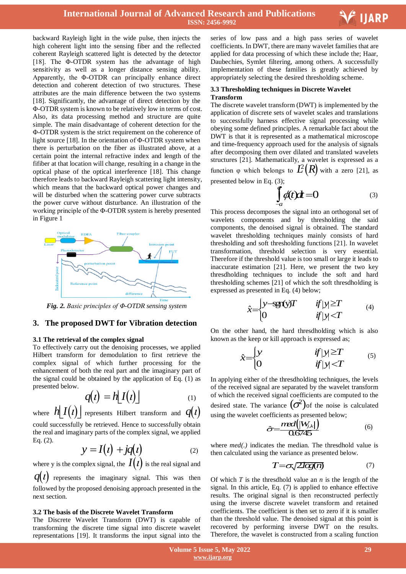

backward Rayleigh light in the wide pulse, then injects the high coherent light into the sensing fiber and the reflected coherent Rayleigh scattered light is detected by the detector [18]. The Φ-OTDR system has the advantage of high sensitivity as well as a longer distance sensing ability. Apparently, the Φ-OTDR can principally enhance direct detection and coherent detection of two structures. These attributes are the main difference between the two systems [18]. Significantly, the advantage of direct detection by the Φ-OTDR system is known to be relatively low in terms of cost. Also, its data processing method and structure are quite simple. The main disadvantage of coherent detection for the Φ-OTDR system is the strict requirement on the coherence of light source [18]. In the orientation of Φ-OTDR system when there is perturbation on the fiber as illustrated above, at a certain point the internal refractive index and length of the fifiber at that location will change, resulting in a change in the optical phase of the optical interference [18]. This change therefore leads to backward Rayleigh scattering light intensity, which means that the backward optical power changes and will be disturbed when the scattering power curve subtracts the power curve without disturbance. An illustration of the working principle of the Φ-OTDR system is hereby presented in Figure 1



*Fig. 2. Basic principles of Φ-OTDR sensing system*

# **3. The proposed DWT for Vibration detection**

#### **3.1 The retrieval of the complex signal**

l.

Eq. (2).

To effectively carry out the denoising processes, we applied Hilbert transform for demodulation to first retrieve the complex signal of which further processing for the enhancement of both the real part and the imaginary part of the signal could be obtained by the application of Eq. (1) as presented below.

$$
q(t) = h[I(t)] \tag{1}
$$

where  $h\!\!\left\lfloor I\!\!\left(l\right)\right\rfloor$  represents Hilbert transform and  $q(t)$ could successfully be retrieved. Hence to successfully obtain the real and imaginary parts of the complex signal, we applied

$$
y = I(t) + jq(t)
$$
 (2)

where y is the complex signal, the  $I(t)$  is the real signal and

 $q(t)$  represents the imaginary signal. This was then followed by the proposed denoising approach presented in the next section.

#### **3.2 The basis of the Discrete Wavelet Transform**

The Discrete Wavelet Transform (DWT) is capable of transforming the discrete time signal into discrete wavelet representations [19]. It transforms the input signal into the

 series of low pass and a high pass series of wavelet coefficients. In DWT, there are many wavelet families that are applied for data processing of which these include the; Haar, Daubechies, Symlet filtering, among others. A successfully implementation of these families is greatly achieved by appropriately selecting the desired thresholding scheme.

#### **3.3 Thresholding techniques in Discrete Wavelet Transform**

The discrete wavelet transform (DWT) is implemented by the application of discrete sets of wavelet scales and translations to successfully harness effective signal processing while obeying some defined principles. A remarkable fact about the DWT is that it is represented as a mathematical microscope and time-frequency approach used for the analysis of signals after decomposing them over dilated and translated wavelets structures [21]. Mathematically, a wavelet is expressed as a function  $\varphi$  which belongs to  $\mathcal{L}(R)$  with a zero [21], as presented below in Eq. (3);

$$
\int_{-a}^{a} \phi(t)dt = 0
$$
 (3)

This process decomposes the signal into an orthogonal set of wavelets components and by thresholding the said components, the denoised signal is obtained. The standard wavelet thresholding techniques mainly consists of hard thresholding and soft thresholding functions [21]. In wavelet transformation, threshold selection is very essential. Therefore if the threshold value is too small or large it leads to inaccurate estimation [21]. Here, we present the two key thresdholding techniques to include the soft and hard thresholding schemes [21] of which the soft thresdholding is

expressed as presented in Eq. (4) below;  
\n
$$
\hat{x} =\begin{cases}\ny - \text{sgn}(y)T & \text{if } |y| \ge T \\
0 & \text{if } |y| < T\n\end{cases}
$$
\n(4)

On the other hand, the hard thresdholding which is also

known as the keep or kill approach is expressed as;  
\n
$$
\hat{x} = \begin{cases}\ny & \text{if } |y| \geq T \\
0 & \text{if } |y| < T\n\end{cases}
$$
\n(5)

In applying either of the thresdholding techniques, the levels of the received signal are separated by the wavelet transform of which the received signal coefficients are computed to the desired state. The variance  $(\sigma^2)$  of the noise is calculated

using the wavelet coefficients as presented below;  
\n
$$
\hat{\sigma} = \frac{med(|W_{j,k}|)}{0.6745}
$$
\n(6)

where *med(.)* indicates the median. The thresdhold value is then calculated using the variance as presented below.

$$
T = \sigma \sqrt{2\log(n)}\tag{7}
$$

Of which *T* is the thresdhold value an *n* is the length of the signal. In this article, Eq. (7) is applied to enhance effective results. The original signal is then reconstructed perfectly using the inverse discrete wavelet transform and retained coefficients. The coefficient is then set to zero if it is smaller than the threshold value. The denoised signal at this point is recovered by performing inverse DWT on the results. Therefore, the wavelet is constructed from a scaling function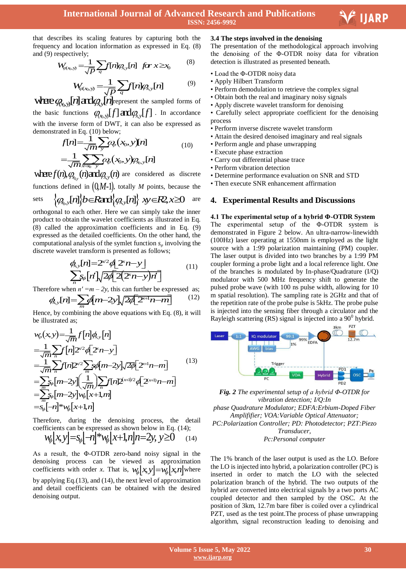Ξ

that describes its scaling features by capturing both the frequency and location information as expressed in Eq. (8) and (9) respectively;<br>  $W_{(x_0, y)} = \frac{1}{\sqrt{D}} \sum_{q} f[n] Q_{x,y}[n]$  for  $x \ge x_0$  (8) and (9) respectively;

$$
W_{\alpha_0,y} = \frac{1}{\sqrt{p}} \sum_{q} f[n] \varphi_{\alpha,y}[n] \quad \text{for } x \geq x_0 \tag{8}
$$

$$
W_{q(x_0,y)} = \frac{1}{\sqrt{p}} \sum_{q} f[n] q_{x,y}[n] \tag{9}
$$

where  $q_{\text{a,b}}$   $\sqrt{p}$   $\frac{q}{q}$   $\cdots$   $q$   $\cdots$   $q$ the basic functions  $\varphi_{(x_0,y)}[f] \text{ and } \varphi_{x,y}[f]$ . In accordance with the inverse form of DWT, it can also be expressed as demonstrated in Eq. (10) below;<br> $F[n] = \frac{1}{2} \sum \omega (n)$ 

ated in Eq. (10) below;

\n
$$
f[n] = \frac{1}{\sqrt{m}} \sum_{y} Q_{\rho}(x_0, y)[n]
$$
\n
$$
= \frac{1}{\sqrt{m}} \sum_{x=y_0} \sum_{y} Q_{\rho}(x_0, y) Q_{0,y}[n]
$$
\n(10)

 $-\frac{1}{\sqrt{m}}\sum_{x=0}^{\infty} \frac{\mu_{\phi}(x_0, y) \mu_{x_0, y}[\mu]}{y}$  are considered as discrete functions defined in  $(0,M-1)$ , totally *M* points, because the *x y x y* <sup>0</sup> , , [ ] and [ ] 2, 0 *n b R n xy R x*

sets 
$$
\{Q_{0,y}[n]\}b \in \text{Rard}\{Q_{0,y}[n]\} \text{ and } \{Q_{0,y}[n]\} \text{ are}
$$

orthogonal to each other. Here we can simply take the inner product to obtain the wavelet coefficients as illustrated in Eq. (8) called the approximation coefficients and in Eq. (9) expressed as the detailed coefficients. On the other hand, the computational analysis of the symlet function *s<sup>φ</sup>* involving the

discrete wavelet transform is presented as follows;  
\n
$$
\phi_{x,y}[n] = 2^{v/2} \phi \left[ 2^n n - y \right]
$$
\n
$$
\sum_{n} S_{\phi}[n] \sqrt{2 \phi \left[ 2(2^n n - y)n \right]}
$$
\n(11)

Therefore when  $n' = m - 2y$ , this can further be expressed as;

$$
\frac{\sqrt{n}}{n} \phi \left[ \frac{P}{N} \frac{\Delta P}{2} \left( \frac{P}{N} \right) \frac{P}{N} \right]
$$
\ntherefore when  $n' = m - 2y$ , this can further be expressed as:

\n
$$
\oint_{\mathcal{X},y}[r] = \sum_{m} \oint_{\mathcal{X}} \left[ \frac{P}{2} \frac{P}{N} \frac{P}{2} \frac{P}{N} \frac{P}{N} \frac{P}{N} \right] \frac{P}{N} \frac{P}{N} \frac{P}{N} \frac{P}{N} \frac{P}{N} \frac{P}{N} \frac{P}{N} \frac{P}{N} \frac{P}{N} \frac{P}{N} \frac{P}{N} \frac{P}{N} \frac{P}{N} \frac{P}{N} \frac{P}{N} \frac{P}{N} \frac{P}{N} \frac{P}{N} \frac{P}{N} \frac{P}{N} \frac{P}{N} \frac{P}{N} \frac{P}{N} \frac{P}{N} \frac{P}{N} \frac{P}{N} \frac{P}{N} \frac{P}{N} \frac{P}{N} \frac{P}{N} \frac{P}{N} \frac{P}{N} \frac{P}{N} \frac{P}{N} \frac{P}{N} \frac{P}{N} \frac{P}{N} \frac{P}{N} \frac{P}{N} \frac{P}{N} \frac{P}{N} \frac{P}{N} \frac{P}{N} \frac{P}{N} \frac{P}{N} \frac{P}{N} \frac{P}{N} \frac{P}{N} \frac{P}{N} \frac{P}{N} \frac{P}{N} \frac{P}{N} \frac{P}{N} \frac{P}{N} \frac{P}{N} \frac{P}{N} \frac{P}{N} \frac{P}{N} \frac{P}{N} \frac{P}{N} \frac{P}{N} \frac{P}{N} \frac{P}{N} \frac{P}{N} \frac{P}{N} \frac{P}{N} \frac{P}{N} \frac{P}{N} \frac{P}{N} \frac{P}{N} \frac{P}{N} \frac{P}{N} \frac{P}{N} \frac{P}{N} \frac{P}{N} \frac{P}{N} \frac{P}{N} \frac{P}{N} \frac{P}{N} \frac{P}{N} \frac{P}{N} \frac{P}{N} \frac{P}{N} \frac{P}{N} \frac{P}{N} \
$$

Hence, by combining the above equations with Eq. (8), it will<br>be illustrated as;<br> $w_{\varphi}(x, y) = \frac{1}{\sqrt{m}} f[n] \phi_{xy}[n]$ be illustrated as;

$$
w_{\varphi}(x, y) = \frac{1}{\sqrt{m}} f[n] \phi_{xy}[n]
$$
  
=  $\frac{1}{\sqrt{m}} \sum_{n} f[n] 2^{\nu/2} \phi[2^n n - y]$   
=  $\frac{1}{\sqrt{m}} \sum_{n} f[n] 2^{\nu/2} \sum_{m} g \phi[m-2y] \sqrt{2\phi}[2^{\nu+1}n-m]$   
=  $\sum_{m} g_{\varphi}[m-2y] (\frac{1}{\sqrt{m}}) \sum_{n} f[n] 2^{\nu+1/2} \phi[2^{\nu+1}n-m]$   
=  $\sum_{m} g_{\varphi}[m-2y] w_{\varphi}[x+1,m]$   
=  $s_{\varphi}[-n]^* w_{\varphi}[x+1,n]$ 

Therefore, during the denoising process, the detail coefficients can be expressed as shown below in Eq. (14); refore, during the denoising process, the deta<br>
ficients can be expressed as shown below in Eq. (14);<br>  $W_{\phi}[x, y] = s_{\phi}[-n]^* W_{\phi}[x+1, n]n = 2y, y \ge 0$  (14)

$$
w_{\phi}[x, y] = s_{\phi}[-n]^* w_{\phi}[x+1, n]n = 2y, y \ge 0
$$
 (14)

As a result, the Φ-OTDR zero-band noisy signal in the denoising process can be viewed as approximation coefficients with order *x*. That is,  $w_{\phi}[x, y] = w_{\phi}[x, n]$  where by applying Eq.(13), and (14), the next level of approximation and detail coefficients can be obtained with the desired denoising output.

### **3.4 The steps involved in the denoising**

The presentation of the methodological approach involving the denoising of the Φ-OTDR noisy data for vibration detection is illustrated as presented beneath.

- Load the Φ-OTDR noisy data
- Apply Hilbert Transform
- Perform demodulation to retrieve the complex signal
- Obtain both the real and imaginary noisy signals
- Apply discrete wavelet transform for denoising
- Carefully select appropriate coefficient for the denoising process
- Perform inverse discrete wavelet transform
- Attain the desired denoised imaginary and real signals
- Perform angle and phase unwrapping
- Execute phase extraction
- Carry out differential phase trace
- Perform vibration detection
- Determine performance evaluation on SNR and STD
- Then execute SNR enhancement affirmation

# **4. Experimental Results and Discussions**

#### **4.1 The experimental setup of a hybrid Φ-OTDR System**

The experimental setup of the Φ-OTDR system is demonstrated in Figure 2 below. An ultra-narrow-linewidth (100Hz) laser operating at 1550nm is employed as the light source with a 1:99 polarization maintaining (PM) coupler. The laser output is divided into two branches by a 1:99 PM coupler forming a probe light and a local reference light. One of the branches is modulated by In-phase/Quadrature (I/Q) modulator with 500 MHz frequency shift to generate the pulsed probe wave (with 100 ns pulse width, allowing for 10 m spatial resolution). The sampling rate is 2GHz and that of the repetition rate of the probe pulse is 5kHz. The probe pulse is injected into the sensing fiber through a circulator and the Rayleigh scattering  $(RS)$  signal is injected into a  $90^{\circ}$  hybrid.



*Fig. 2 The experimental setup of a hybrid Φ-OTDR for vibration detection; I/Q:In phase Quadrature Modulator; EDFA:Erbium-Doped Fiber Amplififier; VOA:Variable Optical Attenuator; PC:Polarization Controller; PD: Photodetector; PZT:Piezo Transducer, Pc:Personal computer*

The 1% branch of the laser output is used as the LO. Before the LO is injected into hybrid, a polarization controller (PC) is inserted in order to match the LO with the selected polarization branch of the hybrid. The two outputs of the hybrid are converted into electrical signals by a two ports AC coupled detector and then sampled by the OSC. At the position of 3km, 12.7m bare fiber is coiled over a cylindrical PZT, used as the test point.The process of phase unwrapping algorithm, signal reconstruction leading to denoising and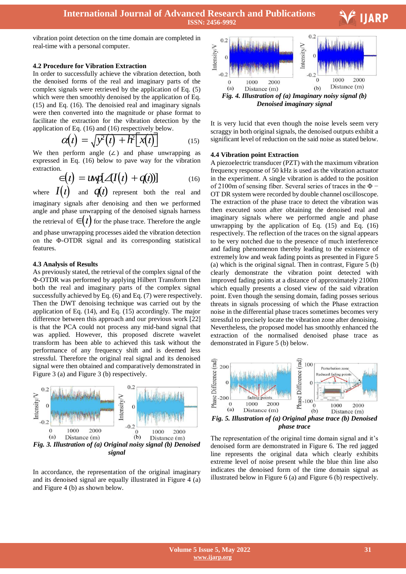

vibration point detection on the time domain are completed in real-time with a personal computer.

#### **4.2 Procedure for Vibration Extraction**

In order to successfully achieve the vibration detection, both the denoised forms of the real and imaginary parts of the complex signals were retrieved by the application of Eq. (5) which were then smoothly denoised by the application of Eq. (15) and Eq. (16). The denoisied real and imaginary signals were then converted into the magnitude or phase format to facilitate the extraction for the vibration detection by the

application of Eq. (16) and (16) respectively below.  
\n
$$
\mathcal{O}(t) = \sqrt{y^2(t) + h^2[x(t)]}
$$
\n(15)

We then perform angle (∠) and phase unwrapping as expressed in Eq. (16) below to pave way for the vibration extraction.

$$
\in (t) = \text{unif } \angle(I(t) + q(t))
$$
\n
$$
= \text{unif } \angle(I(t) + q(t))
$$
\n
$$
= \text{unif } \angle(I(t) + q(t))
$$
\n
$$
= \text{unif } \angle(I(t) + q(t))
$$
\n
$$
= \text{unif } \angle(I(t) + q(t))
$$
\n
$$
= \text{unif } \angle(I(t) + q(t))
$$
\n
$$
= \text{unif } \angle(I(t) + q(t))
$$

where  $I(t)$  and  $q(t)$  represent both the real and imaginary signals after denoising and then we performed angle and phase unwrapping of the denoised signals harness the retrieval of  $\epsilon(t)$  for the phase trace. Therefore the angle and phase unwrapping processes aided the vibration detection on the Φ-OTDR signal and its corresponding statistical features.

# **4.3 Analysis of Results**

As previously stated, the retrieval of the complex signal of the Φ-OTDR was performed by applying Hilbert Transform then both the real and imaginary parts of the complex signal successfully achieved by Eq. (6) and Eq. (7) were respectively. Then the DWT denoising technique was carried out by the application of Eq. (14), and Eq. (15) accordingly. The major difference between this approach and our previous work [22] is that the PCA could not process any mid-band signal that was applied. However, this proposed discrete wavelet transform has been able to achieved this task without the performance of any frequency shift and is deemed less stressful. Therefore the original real signal and its denoised signal were then obtained and comparatively demonstrated in Figure 3 (a) and Figure 3 (b) respectively.



In accordance, the representation of the original imaginary and its denoised signal are equally illustrated in Figure 4 (a) and Figure 4 (b) as shown below.



It is very lucid that even though the noise levels seem very scraggy in both original signals, the denoised outputs exhibit a significant level of reduction on the said noise as stated below.

#### **4.4 Vibration point Extraction**

A piezoelectric transducer (PZT) with the maximum vibration frequency response of 50 kHz is used as the vibration actuator in the experiment. A single vibration is added to the position of 2100m of sensing fiber. Several series of traces in the Φ − OT DR system were recorded by double channel oscilloscope. The extraction of the phase trace to detect the vibration was then executed soon after obtaining the denoised real and imaginary signals where we performed angle and phase unwrapping by the application of Eq.  $(15)$  and Eq.  $(16)$ respectively. The reflection of the traces on the signal appears to be very notched due to the presence of much interference and fading phenomenon thereby leading to the existence of extremely low and weak fading points as presented in Figure 5 (a) which is the original signal. Then in contrast, Figure 5 (b) clearly demonstrate the vibration point detected with improved fading points at a distance of approximately 2100m which equally presents a closed view of the said vibration point. Even though the sensing domain, fading posses serious threats in signals processing of which the Phase extraction noise in the differential phase traces sometimes becomes very stressful to precisely locate the vibration zone after denoising. Nevertheless, the proposed model has smoothly enhanced the extraction of the normalised denoised phase trace as demonstrated in Figure 5 (b) below.



The representation of the original time domain signal and it's denoised form are demonstrated in Figure 6. The red jagged line represents the original data which clearly exhibits extreme level of noise present while the blue thin line also indicates the denoised form of the time domain signal as illustrated below in Figure 6 (a) and Figure 6 (b) respectively.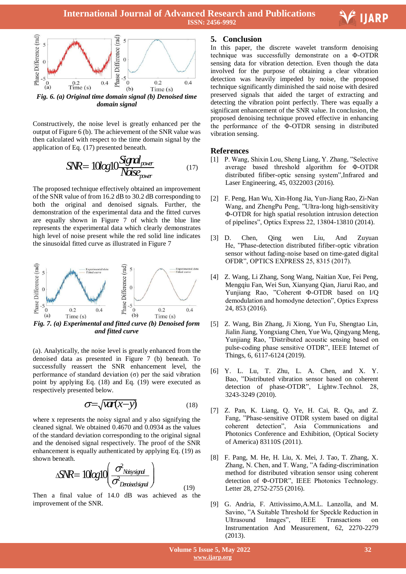

Constructively, the noise level is greatly enhanced per the output of Figure 6 (b). The achievement of the SNR value was then calculated with respect to the time domain signal by the application of Eq. (17) presented beneath.

$$
SNR = 10log10 \frac{Signal_{power}}{Noise_{power}}
$$
 (17)

The proposed technique effectively obtained an improvement of the SNR value of from 16.2 dB to 30.2 dB corresponding to both the original and denoised signals. Further, the demonstration of the experimental data and the fitted curves are equally shown in Figure 7 of which the blue line represents the experimental data which clearly demonstrates high level of noise present while the red solid line indicates the sinusoidal fitted curve as illustrated in Figure 7



*and fitted curve* 

(a). Analytically, the noise level is greatly enhanced from the denoised data as presented in Figure 7 (b) beneath. To successfully reassert the SNR enhancement level, the performance of standard deviation (σ) per the said vibration point by applying Eq. (18) and Eq. (19) were executed as respectively presented below.

$$
\sigma = \sqrt{\text{Var}(x - y)}\tag{18}
$$

where x represents the noisy signal and y also signifying the cleaned signal. We obtained 0.4670 and 0.0934 as the values of the standard deviation corresponding to the original signal and the denoised signal respectively. The proof of the SNR enhancement is equally authenticated by applying Eq. (19) as<br>shown beneath.<br> $\sqrt{\frac{N}{R}} = \frac{1}{\frac{N}{\omega}} \int \frac{\sigma^2 N \sin \left(\frac{N}{R}\right)}{N}$ shown beneath.

$$
\Delta N R = 10 \text{log} 10 \left( \frac{\sigma^2_{\text{Nisy signal}}}{\sigma^2_{\text{Druised signal}}} \right) \tag{19}
$$

Then a final value of 14.0 dB was achieved as the improvement of the SNR.

# **5. Conclusion**

In this paper, the discrete wavelet transform denoising technique was successfully demonstrate on a Φ-OTDR sensing data for vibration detection. Even though the data involved for the purpose of obtaining a clear vibration detection was heavily impeded by noise, the proposed technique significantly diminished the said noise with desired preserved signals that aided the target of extracting and detecting the vibration point perfectly. There was equally a significant enhancement of the SNR value. In conclusion, the proposed denoising technique proved effective in enhancing the performance of the Φ-OTDR sensing in distributed vibration sensing.

Ξ

**E** IJARP

# **References**

- [1] P. Wang, Shixin Lou, Sheng Liang, Y. Zhang, "Selective average based threshold algorithm for Φ-OTDR distributed fifiber-optic sensing system",Infrared and Laser Engineering, 45, 0322003 (2016).
- [2] F. Peng, Han Wu, Xin-Hong Jia, Yun-Jiang Rao, Zi-Nan Wang, and ZhengPu Peng, "Ultra-long high-sensitivity Φ-OTDR for high spatial resolution intrusion detection of pipelines", Optics Express 22, 13804-13810 (2014).
- [3] D. Chen, Qing wen Liu, And Zuyuan He, "Phase-detection distributed fifiber-optic vibration sensor without fading-noise based on time-gated digital OFDR", OPTICS EXPRESS 25, 8315 (2017).
- [4] Z. Wang, Li Zhang, Song Wang, Naitian Xue, Fei Peng, Mengqiu Fan, Wei Sun, Xianyang Qian, Jiarui Rao, and Yunjiang Rao, "Coherent Φ-OTDR based on I/Q demodulation and homodyne detection", Optics Express 24, 853 (2016).
- [5] Z. Wang, Bin Zhang, Ji Xiong, Yun Fu, Shengtao Lin, Jialin Jiang, Yongxiang Chen, Yue Wu, Qingyang Meng, Yunjiang Rao, "Distributed acoustic sensing based on pulse-coding phase sensitive OTDR", IEEE Internet of Things, 6, 6117-6124 (2019).
- [6] Y. L. Lu, T. Zhu, L. A. Chen, and X. Y. Bao, "Distributed vibration sensor based on coherent detection of phase-OTDR", Lightw.Technol. 28, 3243-3249 (2010).
- [7] Z. Pan, K. Liang, Q. Ye, H. Cai, R. Qu, and Z. Fang, "Phase-sensitive OTDR system based on digital coherent detection", Asia Communications and Photonics Conference and Exhibition, (Optical Society of America) 83110S (2011).
- [8] F. Pang, M. He, H. Liu, X. Mei, J. Tao, T. Zhang, X. Zhang, N. Chen, and T. Wang, "A fading-discrimination method for distributed vibration sensor using coherent detection of Φ-OTDR", IEEE Photonics Technology. Letter 28, 2752-2755 (2016).
- [9] G. Andria, F. Attivissimo,A.M.L. Lanzolla, and M. Savino, "A Suitable Threshold for Speckle Reduction in Ultrasound Images", IEEE Transactions on Instrumentation And Measurement, 62, 2270-2279 (2013).